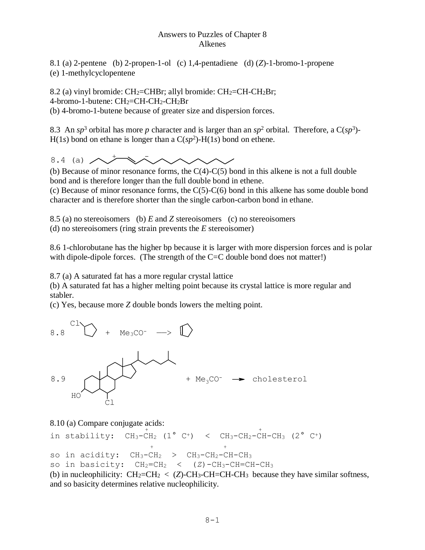## Answers to Puzzles of Chapter 8 Alkenes

8.1 (a) 2-pentene (b) 2-propen-1-ol (c) 1,4-pentadiene (d) (*Z*)-1-bromo-1-propene (e) 1-methylcyclopentene

8.2 (a) vinyl bromide: CH2=CHBr; allyl bromide: CH2=CH-CH2Br; 4-bromo-1-butene: CH2=CH-CH2-CH2Br (b) 4-bromo-1-butene because of greater size and dispersion forces.

8.3 An  $sp^3$  orbital has more p character and is larger than an  $sp^2$  orbital. Therefore, a  $C(sp^3)$ - $H(1s)$  bond on ethane is longer than a  $C(sp^2)$ - $H(1s)$  bond on ethene.

8.4 (a)  $\sim$   $+\infty$ 

(b) Because of minor resonance forms, the  $C(4)-C(5)$  bond in this alkene is not a full double bond and is therefore longer than the full double bond in ethene.

(c) Because of minor resonance forms, the  $C(5)$ - $C(6)$  bond in this alkene has some double bond character and is therefore shorter than the single carbon-carbon bond in ethane.

8.5 (a) no stereoisomers (b) *E* and *Z* stereoisomers (c) no stereoisomers

(d) no stereoisomers (ring strain prevents the *E* stereoisomer)

8.6 1-chlorobutane has the higher bp because it is larger with more dispersion forces and is polar with dipole-dipole forces. (The strength of the C=C double bond does not matter!)

8.7 (a) A saturated fat has a more regular crystal lattice

(b) A saturated fat has a higher melting point because its crystal lattice is more regular and stabler.

(c) Yes, because more *Z* double bonds lowers the melting point.



8.10 (a) Compare conjugate acids:

```
 + +
in stability: CH_3-CH_2 (1° C<sup>+</sup>) < CH_3-CH_2-CH-CH_3 (2° C<sup>+</sup>)
+ +
so in acidity: CH_3-CH_2 > CH_3-CH_2-CH-CH_3so in basicity: CH_2=CH_2 < (Z)-CH<sub>3</sub>-CH=CH-CH<sub>3</sub>
(b) in nucleophilicity: CH_2=CH_2 < (Z)-CH_3-CH=CH-CH_3 because they have similar softness,
```
and so basicity determines relative nucleophilicity.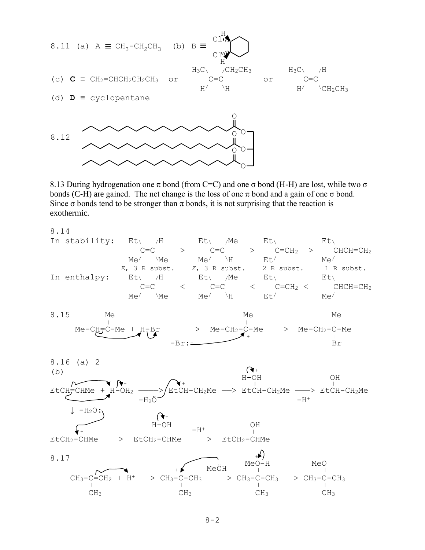

8.13 During hydrogenation one  $\pi$  bond (from C=C) and one  $\sigma$  bond (H-H) are lost, while two  $\sigma$ bonds (C-H) are gained. The net change is the loss of one  $\pi$  bond and a gain of one  $\sigma$  bond. Since  $\sigma$  bonds tend to be stronger than  $\pi$  bonds, it is not surprising that the reaction is exothermic.

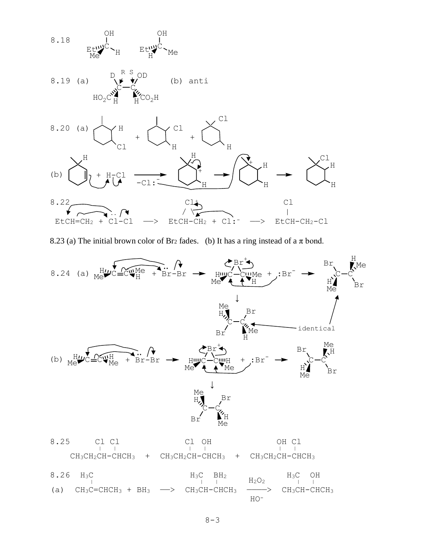

8.23 (a) The initial brown color of Br<sub>2</sub> fades. (b) It has a ring instead of a  $\pi$  bond.

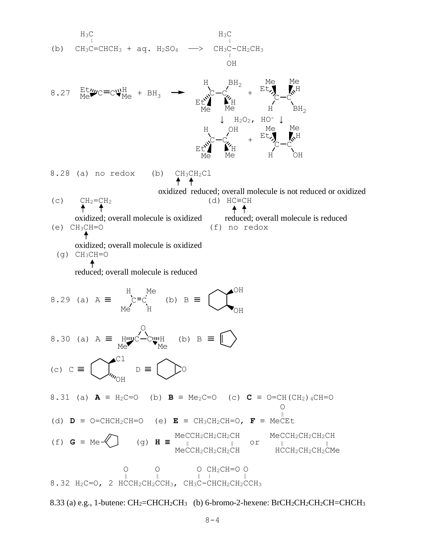H<sub>3</sub>C  
\n(b) CH<sub>3</sub>C=CHCH<sub>3</sub> + aq. H<sub>2</sub>SO<sub>4</sub> → CH<sub>2</sub>CH<sub>2</sub>CH<sub>3</sub>  
\n8.27 
$$
\frac{Bt}{Me}\psi C=C\psi_{Me}^{H} + BH_{3}
$$
 →  $\frac{B}{E\psi_{Me}^{2}}\psi_{me}^{C} - \psi_{Me}^{C} + \frac{Bt}{E\psi_{Me}^{C}}\psi_{me}^{C} + \frac{Bt}{E\psi_{Me}^{C}}\psi_{me}^{C} + \frac{Bt}{E\psi_{Me}^{C}}\psi_{me}^{C} + \frac{Bt}{E\psi_{Me}^{C}}\psi_{me}^{C} + \frac{Bt}{E\psi_{Me}^{C}}\psi_{me}^{C} + \frac{Bt}{E\psi_{Me}^{C}}\psi_{me}^{C} + \frac{Bt}{E\psi_{Me}^{C}}\psi_{me}^{C} + \frac{Bt}{E\psi_{Me}^{C}}\psi_{me}^{C} + \frac{Bt}{E\psi_{Me}^{C}}\psi_{me}^{C} + \frac{Bt}{E\psi_{Me}^{C}}\psi_{me}^{C} + \frac{Bt}{E\psi_{Me}^{C}}\psi_{me}^{C} + \frac{Bt}{E\psi_{Me}^{C}}\psi_{me}^{C} + \frac{Bt}{E\psi_{Me}^{C}}\psi_{me}^{C} + \frac{Bt}{E\psi_{Me}^{C}}\psi_{me}^{C} + \frac{Bt}{E\psi_{Me}^{C}}\psi_{me}^{C} + \frac{Bt}{E\psi_{Me}^{C}}\psi_{me}^{C} + \frac{Bt}{E\psi_{Me}^{C}}\psi_{me}^{C} + \frac{Bt}{E\psi_{Me}^{C}}\psi_{me}^{C} + \frac{Bt}{E\psi_{Me}^{C}}\psi_{me}^{C} + \frac{Bt}{E\psi_{Me}^{C}}\psi_{me}^{C} + \frac{Bt}{E\psi_{Me}^{C}}\psi_{me}^{C} + \frac{Bt}{E\psi_{Me}^{C}}\psi_{me}^{C} + \frac{Bt}{E\psi_{Me}^{C}}\psi_{me}^{C} + \frac{Bt}{E\psi_{Me}^{C}}\psi_{me}^{C} + \frac{Bt}{E\psi_{Me}^{C}}\psi_{me}^{C} + \frac{Bt}{E\psi_{Me}^{C}}\$ 

8.33 (a) e.g., 1-butene:  $CH_2=CHCH_2CH_3$  (b) 6-bromo-2-hexene: BrCH<sub>2</sub>CH<sub>2</sub>CH<sub>2</sub>CH=CHCH<sub>3</sub>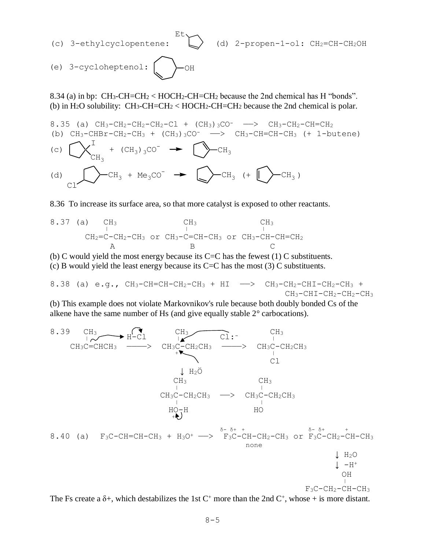**Ether State Controller State Controller** 

(e) 3-cycloheptenol: 
$$
\bigodot
$$
OH

8.34 (a) in bp:  $CH_3-CH=CH_2$  <  $HOCH_2-CH=CH_2$  because the 2nd chemical has H "bonds". (b) in H<sub>2</sub>O solubility: CH<sub>3</sub>-CH=CH<sub>2</sub> < HOCH<sub>2</sub>-CH=CH<sub>2</sub> because the 2nd chemical is polar.

8.35 (a)  $CH_3-CH_2-CH_2-CH_2-Cl$  +  $(CH_3)$  3CO<sup>-</sup>  $\longrightarrow$   $CH_3-CH_2-CH=CH_2$ (b)  $CH_3-CHBr-CH_2-CH_3 + (CH_3)$ <sub>3</sub>CO<sup>-</sup>  $\longrightarrow$  CH<sub>3</sub>-CH=CH-CH<sub>3</sub> (+ 1-butene) (c) I  $\rm CH_3$ +  $\left(\text{CH}_3\right)_3\text{CO}^ \rightarrow$   $\left(\right.\rightarrow\right)-\text{CH}_3$ (d)  $\overline{C}H_3$ Cl + Me<sub>3</sub>CO<sup>-</sup>  $\rightarrow$   $\geq$   $\geq$  CH<sub>3</sub> (+  $\parallel$   $\geq$  CH<sub>3</sub>)

8.36 To increase its surface area, so that more catalyst is exposed to other reactants.

8.37 (a) CH3 CH3 CH<sup>3</sup> <sup>|</sup> <sup>|</sup> <sup>|</sup> CH2=C-CH2-CH<sup>3</sup> or CH3-C=CH-CH<sup>3</sup> or CH3-CH-CH=CH<sup>2</sup> A B C

(b) C would yield the most energy because its  $C=C$  has the fewest (1) C substituents.

(c) B would yield the least energy because its  $C=C$  has the most (3) C substituents.

8.38 (a) e.g., 
$$
CH_3-CH=CH-CH_2-CH_3 + HI \longrightarrow CH_3-CH_2-CHI-CH_2-CH_3 + CH_3-CHI-CH_2-CH_3
$$

(b) This example does not violate Markovnikov's rule because both doubly bonded Cs of the alkene have the same number of Hs (and give equally stable 2° carbocations).

8.39 CH<sub>3</sub> CH<sub>3</sub> 
$$
\overrightarrow{CH_3}
$$
  $\overrightarrow{CH_2CH_3}$   $\overrightarrow{CH_3C-CH_2CH_3}$   $\overrightarrow{CH_3C-CH_2CH_3}$   $\overrightarrow{CH_3C}$   $\overrightarrow{CH_3C}$   $\overrightarrow{CH_3C}$   $\overrightarrow{CH_3C}$   $\overrightarrow{CH_3}$   $\overrightarrow{CH_3}$   $\overrightarrow{CH_3}$   $\overrightarrow{CH_3}$   $\overrightarrow{CH_3}$   $\overrightarrow{CH_3}$   $\overrightarrow{CH_3}$   $\overrightarrow{CH_3}$   $\overrightarrow{CH_3}$   $\overrightarrow{CH_3}$   $\overrightarrow{CH_3}$   $\overrightarrow{CH_3}$   $\overrightarrow{CH_3}$   $\overrightarrow{H_0}$   $\overrightarrow{H_0}$   $\overrightarrow{H_0}$   $\overrightarrow{H_0}$   $\overrightarrow{H_0}$   $\overrightarrow{H_0}$   $\overrightarrow{H_2O}$   $\overrightarrow{H_2O}$   $\overrightarrow{H_2O}$   $\overrightarrow{H_2O}$   $\overrightarrow{H_1}$   $\overrightarrow{H_2O}$   $\overrightarrow{H_1}$   $\overrightarrow{H_2O}$   $\overrightarrow{H_1}$   $\overrightarrow{H_1}$   $\overrightarrow{H_1}$   $\overrightarrow{H_1}$   $\overrightarrow{H_1}$   $\overrightarrow{H_1}$   $\overrightarrow{H_1}$   $\overrightarrow{H_1}$   $\overrightarrow{H_1}$   $\overrightarrow{H_1}$   $\overrightarrow{H_1}$   $\overrightarrow{H_1}$   $\overrightarrow{H_1}$   $\overrightarrow{H_1}$   $\overrightarrow{H_1}$   $\overrightarrow{H_1}$   $\overrightarrow{H_1}$   $\overrightarrow{H_1}$   $\overrightarrow{H_1}$   $\overrightarrow{H_1}$   $\overrightarrow{H_1}$   $\overrightarrow{H_1}$   $\overrightarrow{H_1}$   $\overrightarrow{H_1}$   $\overrightarrow{H_$ 

The Fs create a  $\delta$ +, which destabilizes the 1st C<sup>+</sup> more than the 2nd C<sup>+</sup>, whose + is more distant.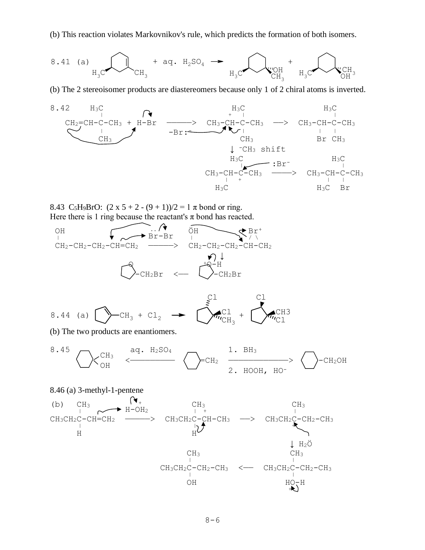(b) This reaction violates Markovnikov's rule, which predicts the formation of both isomers.

8.41 (a) 
$$
H_3C
$$
  
  $H_3C$   
  $CH_3$   
  $H_2SO_4$   $\rightarrow$   $H_3C$   
  $H_3C$   
  $H_3C$   
  $H_3C$   $H_3C$ 

(b) The 2 stereoisomer products are diastereomers because only 1 of 2 chiral atoms is inverted.



8.43 C<sub>5</sub>H<sub>9</sub>BrO:  $(2 \times 5 + 2 - (9 + 1))/2 = 1 \pi$  bond or ring. Here there is 1 ring because the reactant's  $\pi$  bond has reacted.



8.44 (a) CH<sup>3</sup> <sup>+</sup> Cl<sup>2</sup> Cl Cl CH<sup>3</sup> Cl CH3 Cl +

(b) The two products are enantiomers.

$$
8.45 \sum_{OH} C_{H3} \xleftarrow{aq. H_2SO_4} \sum_{CLH_2} \frac{1. BH_3}{2. HOOH, HO^-} \right\} - CH_2OH
$$

8.46 (a) 3-methyl-1-pentene  
\n(b) CH<sub>3</sub> H-OH<sub>2</sub>  
\nCH<sub>3</sub>CH<sub>2</sub>C-CH=CH<sub>2</sub> 
$$
\xrightarrow{H-OH2
$$
 CH<sub>3</sub>CH<sub>2</sub>C-CH-CH<sub>3</sub>  $\xrightarrow{H$  CH<sub>3</sub>CH<sub>2</sub>C-CH-CH<sub>3</sub>  $\xrightarrow{H$  CH<sub>3</sub>CH<sub>2</sub>C-CH<sub>2</sub>-CH<sub>2</sub>  
\nH  
\n $\downarrow$  H<sub>2</sub>Ö CH<sub>3</sub>  
\nCH<sub>3</sub>CH<sub>2</sub>C-CH<sub>2</sub>-CH<sub>3</sub>  $\xrightarrow{CH$  CH<sub>3</sub>CH<sub>3</sub>  
\nCH<sub>3</sub>CH<sub>2</sub>C-CH<sub>2</sub>-CH<sub>3</sub>  $\xrightarrow{CH$ CH<sub>3</sub>CH<sub>2</sub>C-CH<sub>2</sub>-CH<sub>3</sub>  
\nOH  
\n $\xrightarrow{H$ O-H  
\n $\uparrow$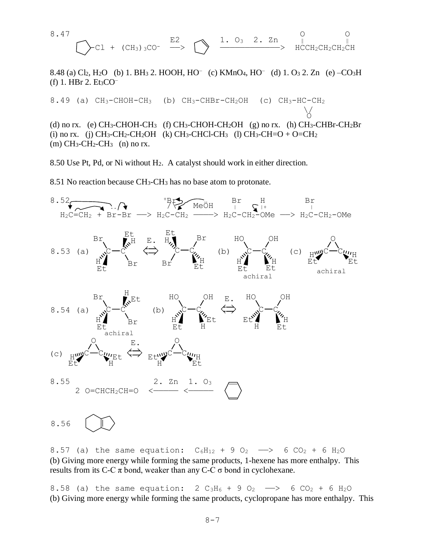8.47 O O E2 1. O3 2. Zn ‖ ‖ -Cl + (CH3)3CO- ——> ————————————> HCCH2CH2CH2CH

8.48 (a) Cl<sub>2</sub>, H<sub>2</sub>O (b) 1. BH<sub>3</sub> 2. HOOH, HO<sup>-</sup> (c) KMnO<sub>4</sub>, HO<sup>-</sup> (d) 1. O<sub>3</sub> 2. Zn (e) -CO<sub>3</sub>H (f) 1. HBr 2.  $Et<sub>3</sub>CO<sup>-</sup>$ 

8.49 (a)  $CH_3-CHOH-CH_3$  (b)  $CH_3-CHBr-CH_2OH$  (c)  $CH_3-HC-CH_2$  $\setminus$ <u>o de la contrada de la contrada de la contrada de la contrada de la contrada de la contrada de la contrada de </u> (d) no rx. (e) CH<sub>3</sub>-CHOH-CH<sub>3</sub> (f) CH<sub>3</sub>-CHOH-CH<sub>2</sub>OH (g) no rx. (h) CH<sub>3</sub>-CHBr-CH<sub>2</sub>Br (i) no rx. (j) CH<sub>3</sub>-CH<sub>2</sub>-CH<sub>2</sub>OH (k) CH<sub>3</sub>-CHCl-CH<sub>3</sub> (l) CH<sub>3</sub>-CH=O + O=CH<sub>2</sub>

8.50 Use Pt, Pd, or Ni without H2. A catalyst should work in either direction.

8.51 No reaction because CH3-CH<sup>3</sup> has no base atom to protonate.

 $(m)$  CH<sub>3</sub>-CH<sub>2</sub>-CH<sub>3</sub>  $(n)$  no rx.



8.56

8.57 (a) the same equation:  $C_6H_{12} + 9 O_2 \longrightarrow 6 CO_2 + 6 H_2O$ (b) Giving more energy while forming the same products, 1-hexene has more enthalpy. This results from its C-C π bond, weaker than any C-C  $\sigma$  bond in cyclohexane.

8.58 (a) the same equation:  $2 C_3H_6 + 9 O_2 \longrightarrow 6 CO_2 + 6 H_2O$ (b) Giving more energy while forming the same products, cyclopropane has more enthalpy. This